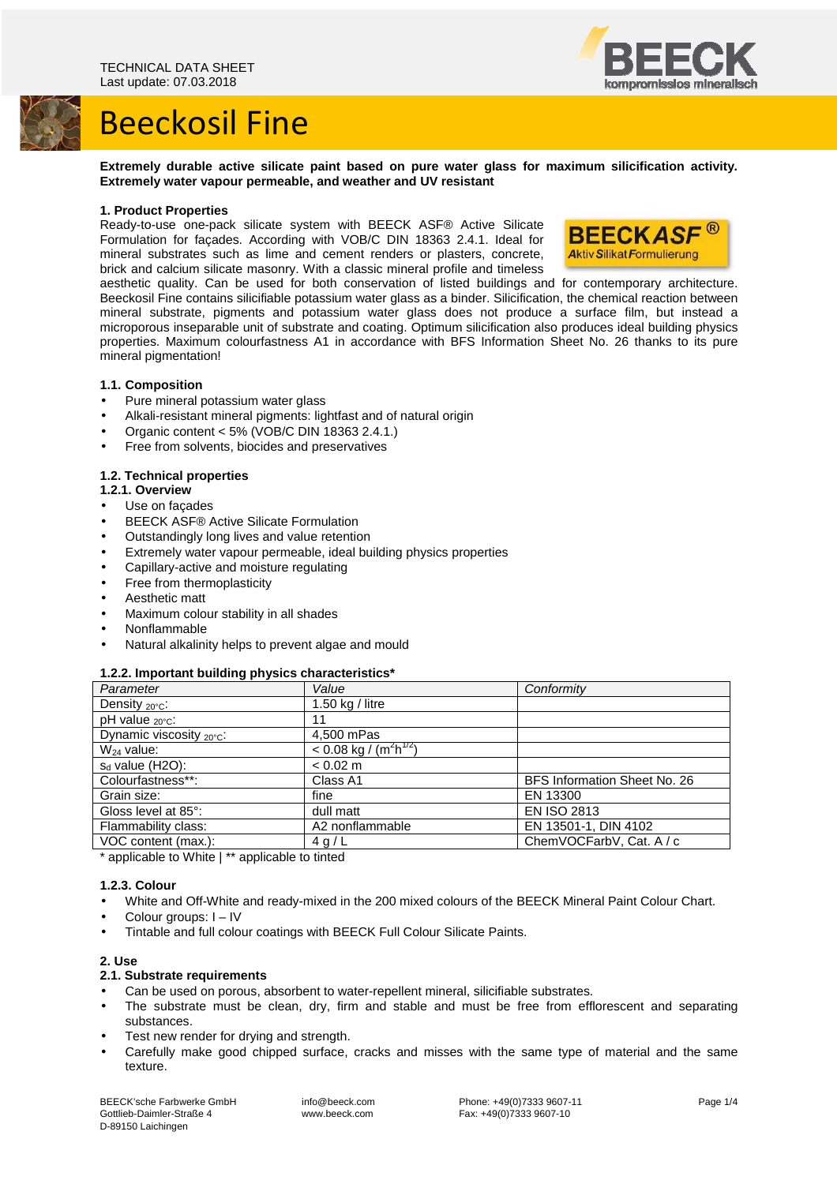



**Extremely durable active silicate paint based on pure water glass for maximum silicification activity. Extremely water vapour permeable, and weather and UV resistant** 

#### **1. Product Properties**

Ready-to-use one-pack silicate system with BEECK ASF® Active Silicate Formulation for façades. According with VOB/C DIN 18363 2.4.1. Ideal for mineral substrates such as lime and cement renders or plasters, concrete, brick and calcium silicate masonry. With a classic mineral profile and timeless



aesthetic quality. Can be used for both conservation of listed buildings and for contemporary architecture. Beeckosil Fine contains silicifiable potassium water glass as a binder. Silicification, the chemical reaction between mineral substrate, pigments and potassium water glass does not produce a surface film, but instead a microporous inseparable unit of substrate and coating. Optimum silicification also produces ideal building physics properties. Maximum colourfastness A1 in accordance with BFS Information Sheet No. 26 thanks to its pure mineral pigmentation!

#### **1.1. Composition**

- Pure mineral potassium water glass
- Alkali-resistant mineral pigments: lightfast and of natural origin
- Organic content < 5% (VOB/C DIN 18363 2.4.1.)
- Free from solvents, biocides and preservatives

## **1.2. Technical properties**

- **1.2.1. Overview**
- Use on facades
- BEECK ASF® Active Silicate Formulation
- Outstandingly long lives and value retention
- Extremely water vapour permeable, ideal building physics properties
- Capillary-active and moisture regulating
- Free from thermoplasticity
- Aesthetic matt
- Maximum colour stability in all shades
- Nonflammable
- Natural alkalinity helps to prevent algae and mould

#### **1.2.2. Important building physics characteristics\***

| Parameter                            | Value                                 | Conformity                   |
|--------------------------------------|---------------------------------------|------------------------------|
| Density $_{20^{\circ}C}$ :           | 1.50 $kg /$ litre                     |                              |
| pH value $_{20^{\circ}C}$ :          | 11                                    |                              |
| Dynamic viscosity $_{20^{\circ}C}$ : | 4,500 mPas                            |                              |
| $W_{24}$ value:                      | $\leq 0.08$ kg $\sqrt{(m^2 h^{1/2})}$ |                              |
| $s_d$ value (H2O):                   | $< 0.02$ m                            |                              |
| Colourfastness**:                    | Class A1                              | BFS Information Sheet No. 26 |
| Grain size:                          | fine                                  | EN 13300                     |
| Gloss level at 85°:                  | dull matt                             | <b>EN ISO 2813</b>           |
| Flammability class:                  | A2 nonflammable                       | EN 13501-1, DIN 4102         |
| VOC content (max.):                  | 4 g/L                                 | ChemVOCFarbV, Cat. A / c     |

\* applicable to White | \*\* applicable to tinted

#### **1.2.3. Colour**

- White and Off-White and ready-mixed in the 200 mixed colours of the BEECK Mineral Paint Colour Chart.
- Colour groups: I IV
- Tintable and full colour coatings with BEECK Full Colour Silicate Paints.

#### **2. Use**

#### **2.1. Substrate requirements**

- Can be used on porous, absorbent to water-repellent mineral, silicifiable substrates.
- The substrate must be clean, dry, firm and stable and must be free from efflorescent and separating substances.
- Test new render for drying and strength.
- Carefully make good chipped surface, cracks and misses with the same type of material and the same texture.

BEECK'sche Farbwerke GmbH Gottlieb-Daimler-Straße 4 D-89150 Laichingen

 info@beeck.com www.beeck.com

 Phone: +49(0)7333 9607-11 Fax: +49(0)7333 9607-10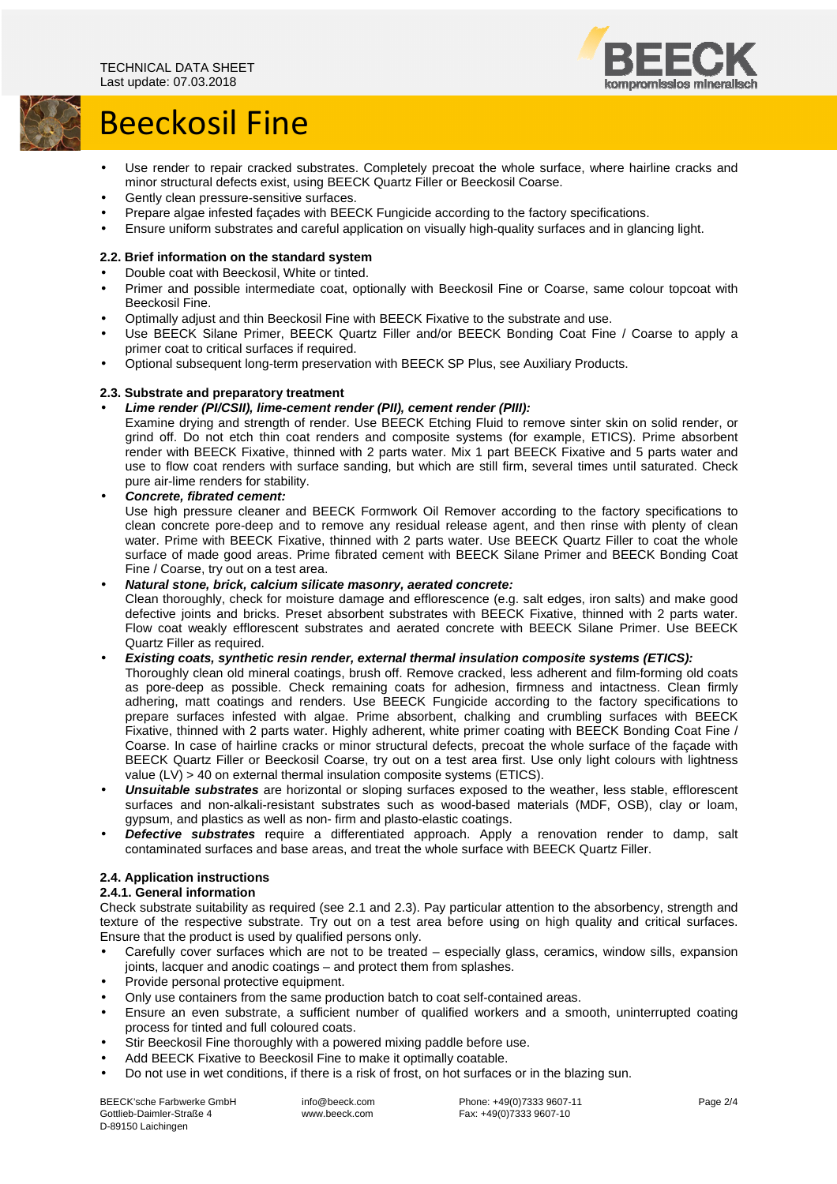

# Beeckosil Fine

- Use render to repair cracked substrates. Completely precoat the whole surface, where hairline cracks and minor structural defects exist, using BEECK Quartz Filler or Beeckosil Coarse.
- Gently clean pressure-sensitive surfaces.
- Prepare algae infested façades with BEECK Fungicide according to the factory specifications.
- Ensure uniform substrates and careful application on visually high-quality surfaces and in glancing light.

## **2.2. Brief information on the standard system**

- Double coat with Beeckosil, White or tinted.
- Primer and possible intermediate coat, optionally with Beeckosil Fine or Coarse, same colour topcoat with Beeckosil Fine.
- Optimally adjust and thin Beeckosil Fine with BEECK Fixative to the substrate and use.
- Use BEECK Silane Primer, BEECK Quartz Filler and/or BEECK Bonding Coat Fine / Coarse to apply a primer coat to critical surfaces if required.
- Optional subsequent long-term preservation with BEECK SP Plus, see Auxiliary Products.

## **2.3. Substrate and preparatory treatment**

## • **Lime render (PI/CSII), lime-cement render (PII), cement render (PIII):**

Examine drying and strength of render. Use BEECK Etching Fluid to remove sinter skin on solid render, or grind off. Do not etch thin coat renders and composite systems (for example, ETICS). Prime absorbent render with BEECK Fixative, thinned with 2 parts water. Mix 1 part BEECK Fixative and 5 parts water and use to flow coat renders with surface sanding, but which are still firm, several times until saturated. Check pure air-lime renders for stability.

• **Concrete, fibrated cement:**  Use high pressure cleaner and BEECK Formwork Oil Remover according to the factory specifications to clean concrete pore-deep and to remove any residual release agent, and then rinse with plenty of clean water. Prime with BEECK Fixative, thinned with 2 parts water. Use BEECK Quartz Filler to coat the whole surface of made good areas. Prime fibrated cement with BEECK Silane Primer and BEECK Bonding Coat Fine / Coarse, try out on a test area.

#### • **Natural stone, brick, calcium silicate masonry, aerated concrete:**

Clean thoroughly, check for moisture damage and efflorescence (e.g. salt edges, iron salts) and make good defective joints and bricks. Preset absorbent substrates with BEECK Fixative, thinned with 2 parts water. Flow coat weakly efflorescent substrates and aerated concrete with BEECK Silane Primer. Use BEECK Quartz Filler as required.

• **Existing coats, synthetic resin render, external thermal insulation composite systems (ETICS):** 

Thoroughly clean old mineral coatings, brush off. Remove cracked, less adherent and film-forming old coats as pore-deep as possible. Check remaining coats for adhesion, firmness and intactness. Clean firmly adhering, matt coatings and renders. Use BEECK Fungicide according to the factory specifications to prepare surfaces infested with algae. Prime absorbent, chalking and crumbling surfaces with BEECK Fixative, thinned with 2 parts water. Highly adherent, white primer coating with BEECK Bonding Coat Fine / Coarse. In case of hairline cracks or minor structural defects, precoat the whole surface of the façade with BEECK Quartz Filler or Beeckosil Coarse, try out on a test area first. Use only light colours with lightness value (LV) > 40 on external thermal insulation composite systems (ETICS).

- **Unsuitable substrates** are horizontal or sloping surfaces exposed to the weather, less stable, efflorescent surfaces and non-alkali-resistant substrates such as wood-based materials (MDF, OSB), clay or loam, gypsum, and plastics as well as non- firm and plasto-elastic coatings.
- **Defective substrates** require a differentiated approach. Apply a renovation render to damp, salt contaminated surfaces and base areas, and treat the whole surface with BEECK Quartz Filler.

#### **2.4. Application instructions**

#### **2.4.1. General information**

Check substrate suitability as required (see 2.1 and 2.3). Pay particular attention to the absorbency, strength and texture of the respective substrate. Try out on a test area before using on high quality and critical surfaces. Ensure that the product is used by qualified persons only.

- Carefully cover surfaces which are not to be treated especially glass, ceramics, window sills, expansion joints, lacquer and anodic coatings – and protect them from splashes.
- Provide personal protective equipment.
- Only use containers from the same production batch to coat self-contained areas.
- Ensure an even substrate, a sufficient number of qualified workers and a smooth, uninterrupted coating process for tinted and full coloured coats.
- Stir Beeckosil Fine thoroughly with a powered mixing paddle before use.
- Add BEECK Fixative to Beeckosil Fine to make it optimally coatable.
- Do not use in wet conditions, if there is a risk of frost, on hot surfaces or in the blazing sun.

BEECK'sche Farbwerke GmbH Gottlieb-Daimler-Straße 4 D-89150 Laichingen

 info@beeck.com www.beeck.com

 Phone: +49(0)7333 9607-11 Fax: +49(0)7333 9607-10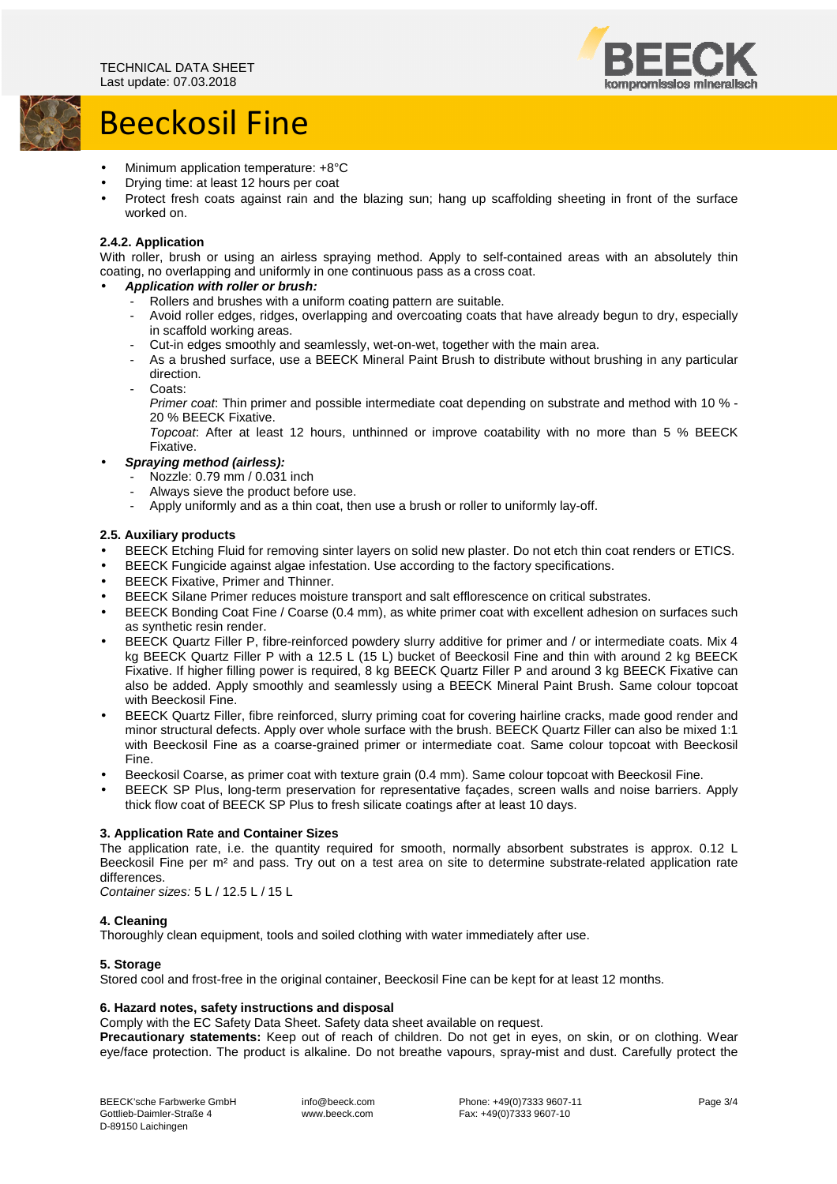## Beeckosil Fine



- Minimum application temperature: +8°C
- Drying time: at least 12 hours per coat
- Protect fresh coats against rain and the blazing sun; hang up scaffolding sheeting in front of the surface worked on.

## **2.4.2. Application**

With roller, brush or using an airless spraying method. Apply to self-contained areas with an absolutely thin coating, no overlapping and uniformly in one continuous pass as a cross coat.

## • **Application with roller or brush:**

- Rollers and brushes with a uniform coating pattern are suitable.
- Avoid roller edges, ridges, overlapping and overcoating coats that have already begun to dry, especially in scaffold working areas.
- Cut-in edges smoothly and seamlessly, wet-on-wet, together with the main area.
- As a brushed surface, use a BEECK Mineral Paint Brush to distribute without brushing in any particular direction.
- Coats:

Primer coat: Thin primer and possible intermediate coat depending on substrate and method with 10 % - 20 % BEECK Fixative.

Topcoat: After at least 12 hours, unthinned or improve coatability with no more than 5 % BEECK Fixative.

## • **Spraying method (airless):**

- Nozzle: 0.79 mm / 0.031 inch
- Always sieve the product before use.
- Apply uniformly and as a thin coat, then use a brush or roller to uniformly lay-off.

## **2.5. Auxiliary products**

- BEECK Etching Fluid for removing sinter layers on solid new plaster. Do not etch thin coat renders or ETICS.
- BEECK Fungicide against algae infestation. Use according to the factory specifications.
- BEECK Fixative, Primer and Thinner.
- BEECK Silane Primer reduces moisture transport and salt efflorescence on critical substrates.
- BEECK Bonding Coat Fine / Coarse (0.4 mm), as white primer coat with excellent adhesion on surfaces such as synthetic resin render.
- BEECK Quartz Filler P, fibre-reinforced powdery slurry additive for primer and / or intermediate coats. Mix 4 kg BEECK Quartz Filler P with a 12.5 L (15 L) bucket of Beeckosil Fine and thin with around 2 kg BEECK Fixative. If higher filling power is required, 8 kg BEECK Quartz Filler P and around 3 kg BEECK Fixative can also be added. Apply smoothly and seamlessly using a BEECK Mineral Paint Brush. Same colour topcoat with Beeckosil Fine.
- BEECK Quartz Filler, fibre reinforced, slurry priming coat for covering hairline cracks, made good render and minor structural defects. Apply over whole surface with the brush. BEECK Quartz Filler can also be mixed 1:1 with Beeckosil Fine as a coarse-grained primer or intermediate coat. Same colour topcoat with Beeckosil Fine.
- Beeckosil Coarse, as primer coat with texture grain (0.4 mm). Same colour topcoat with Beeckosil Fine.
- BEECK SP Plus, long-term preservation for representative façades, screen walls and noise barriers. Apply thick flow coat of BEECK SP Plus to fresh silicate coatings after at least 10 days.

## **3. Application Rate and Container Sizes**

The application rate, i.e. the quantity required for smooth, normally absorbent substrates is approx. 0.12 L Beeckosil Fine per m<sup>2</sup> and pass. Try out on a test area on site to determine substrate-related application rate differences.

Container sizes: 5 L / 12.5 L / 15 L

#### **4. Cleaning**

Thoroughly clean equipment, tools and soiled clothing with water immediately after use.

#### **5. Storage**

Stored cool and frost-free in the original container, Beeckosil Fine can be kept for at least 12 months.

#### **6. Hazard notes, safety instructions and disposal**

Comply with the EC Safety Data Sheet. Safety data sheet available on request.

**Precautionary statements:** Keep out of reach of children. Do not get in eyes, on skin, or on clothing. Wear eye/face protection. The product is alkaline. Do not breathe vapours, spray-mist and dust. Carefully protect the

 info@beeck.com www.beeck.com